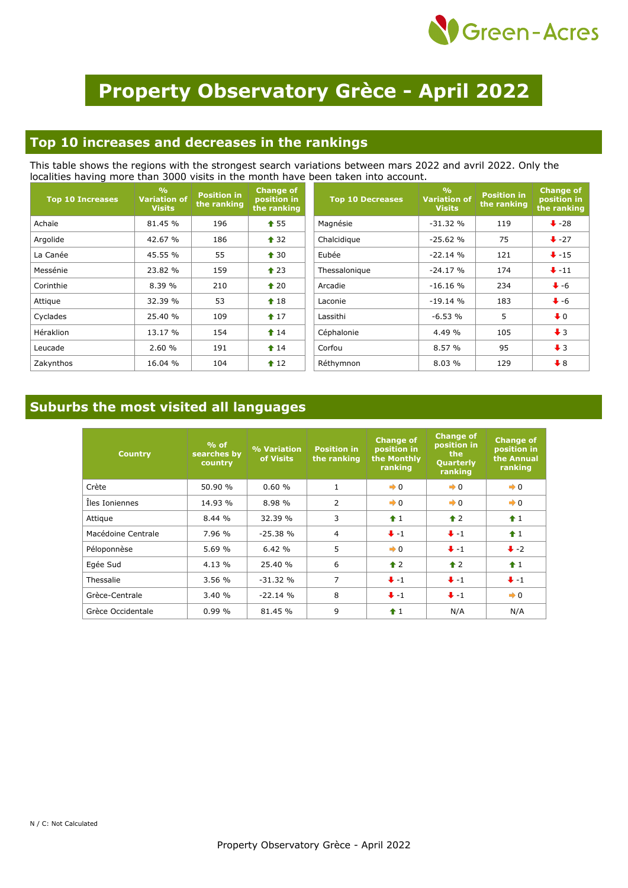

# **Property Observatory Grèce - April 2022**

#### **Top 10 increases and decreases in the rankings**

This table shows the regions with the strongest search variations between mars 2022 and avril 2022. Only the localities having more than 3000 visits in the month have been taken into account.

| <b>Top 10 Increases</b> | $\frac{0}{0}$<br><b>Variation of</b><br><b>Visits</b> | <b>Position in</b><br>the ranking | <b>Change of</b><br>position in<br>the ranking | <b>Top 10 Decreases</b> | $\frac{0}{0}$<br><b>Variation of</b><br><b>Visits</b> | <b>Position in</b><br>the ranking | <b>Change of</b><br>position in<br>the ranking |
|-------------------------|-------------------------------------------------------|-----------------------------------|------------------------------------------------|-------------------------|-------------------------------------------------------|-----------------------------------|------------------------------------------------|
| Achaïe                  | 81.45 %                                               | 196                               | $\textcolor{blue}{\bullet}$ 55                 | Magnésie                | $-31.32%$                                             | 119                               | $\bigstar$ -28                                 |
| Argolide                | 42.67 %                                               | 186                               | $\triangle$ 32                                 | Chalcidique             | $-25.62%$                                             | 75                                | $+27$                                          |
| La Canée                | 45.55 %                                               | 55                                | $\triangle$ 30                                 | Eubée                   | $-22.14%$                                             | 121                               | $+ -15$                                        |
| Messénie                | 23.82 %                                               | 159                               | $\triangle$ 23                                 | Thessalonique           | $-24.17%$                                             | 174                               | $+ -11$                                        |
| Corinthie               | 8.39%                                                 | 210                               | $\triangle$ 20                                 | Arcadie                 | $-16.16%$                                             | 234                               | $\bigvee$ -6                                   |
| Attique                 | 32.39 %                                               | 53                                | $\textcolor{blue}{\bigstar}$ 18                | Laconie                 | $-19.14%$                                             | 183                               | $\bigvee$ -6                                   |
| Cyclades                | 25.40 %                                               | 109                               | $\textcolor{blue}{\bigstar}$ 17                | Lassithi                | $-6.53%$                                              | 5                                 | $\ddot{\bullet}$ 0                             |
| Héraklion               | 13.17 %                                               | 154                               | $\textcolor{blue}{\bullet}$ 14                 | Céphalonie              | 4.49 %                                                | 105                               | $\downarrow$ 3                                 |
| Leucade                 | 2.60%                                                 | 191                               | $\textbf{\textcolor{red}{\bullet}} 14$         | Corfou                  | 8.57%                                                 | 95                                | $\downarrow$ 3                                 |
| Zakynthos               | 16.04 %                                               | 104                               | $\textbf{12}$                                  | Réthymnon               | 8.03%                                                 | 129                               | $\bigstar$ 8                                   |

### **Suburbs the most visited all languages**

| <b>Country</b>     | $%$ of<br>searches by<br>country | % Variation<br>of Visits | <b>Position in</b><br>the ranking | <b>Change of</b><br>position in<br>the Monthly<br>ranking | <b>Change of</b><br>position in<br>the<br><b>Quarterly</b><br>ranking | <b>Change of</b><br>position in<br>the Annual<br>ranking |
|--------------------|----------------------------------|--------------------------|-----------------------------------|-----------------------------------------------------------|-----------------------------------------------------------------------|----------------------------------------------------------|
| Crète              | 50.90 %                          | 0.60%                    | $\mathbf{1}$                      | $\rightarrow 0$                                           | $\rightarrow 0$                                                       | $\rightarrow 0$                                          |
| Iles Ioniennes     | 14.93 %                          | 8.98 %                   | $\overline{2}$                    | $\rightarrow 0$                                           | $\rightarrow 0$                                                       | $\rightarrow 0$                                          |
| Attique            | 8.44%                            | 32.39 %                  | 3                                 | $\hat{1}$                                                 | $\triangle$ 2                                                         | $\hat{1}$                                                |
| Macédoine Centrale | 7.96 %                           | $-25.38%$                | $\overline{4}$                    | $+ -1$                                                    | $+ -1$                                                                | $\bigstar$ 1                                             |
| Péloponnèse        | 5.69%                            | 6.42%                    | 5                                 | $\rightarrow 0$                                           | $+ -1$                                                                | $\ddot{\bullet}$ -2                                      |
| Egée Sud           | 4.13 %                           | 25.40 %                  | 6                                 | $\triangle$ 2                                             | $\triangle$ 2                                                         | $\bigstar$ 1                                             |
| Thessalie          | 3.56%                            | $-31.32%$                | 7                                 | $+ -1$                                                    | $+ -1$                                                                | $+ -1$                                                   |
| Grèce-Centrale     | 3.40%                            | $-22.14%$                | 8                                 | $+ -1$                                                    | $\ddot{\bullet}$ -1                                                   | $\rightarrow 0$                                          |
| Grèce Occidentale  | 0.99%                            | 81.45 %                  | 9                                 | $\pmb{\uparrow}$ 1                                        | N/A                                                                   | N/A                                                      |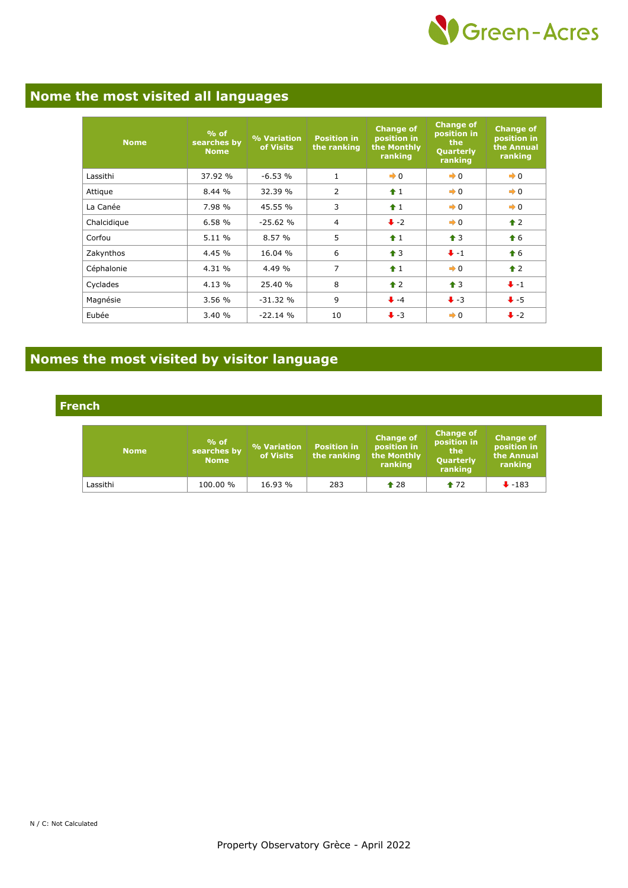

## **Nome the most visited all languages**

| <b>Nome</b> | $%$ of<br>searches by<br><b>Nome</b> | % Variation<br>of Visits | <b>Position in</b><br>the ranking | <b>Change of</b><br>position in<br>the Monthly<br>ranking | <b>Change of</b><br>position in<br>the<br>Quarterly<br>ranking | <b>Change of</b><br>position in<br>the Annual<br>ranking |
|-------------|--------------------------------------|--------------------------|-----------------------------------|-----------------------------------------------------------|----------------------------------------------------------------|----------------------------------------------------------|
| Lassithi    | 37.92 %                              | $-6.53%$                 | $\mathbf{1}$                      | $\rightarrow 0$                                           | $\rightarrow 0$                                                | $\rightarrow 0$                                          |
| Attique     | 8.44%                                | 32.39 %                  | $\overline{2}$                    | $\hat{+}1$                                                | $\rightarrow 0$                                                | $\rightarrow 0$                                          |
| La Canée    | 7.98%                                | 45.55 %                  | 3                                 | $\hat{1}$                                                 | $\rightarrow 0$                                                | $\rightarrow 0$                                          |
| Chalcidique | 6.58%                                | $-25.62%$                | 4                                 | $\ddot{\bullet}$ -2                                       | $\rightarrow 0$                                                | $\triangle$ 2                                            |
| Corfou      | 5.11 %                               | 8.57%                    | 5                                 | $\hat{+}1$                                                | $\bigstar$ 3                                                   | $\hat{\bullet}$ 6                                        |
| Zakynthos   | 4.45 %                               | 16.04 %                  | 6                                 | $\bigstar$ 3                                              | $\bigcup$ -1                                                   | $\textbf{\textcolor{red}{\bullet}} 6$                    |
| Céphalonie  | 4.31 %                               | 4.49 %                   | 7                                 | $\hat{+}1$                                                | $\rightarrow 0$                                                | $\hat{\mathbf{r}}$ 2                                     |
| Cyclades    | 4.13 %                               | 25.40%                   | 8                                 | $\triangle$ 2                                             | $\triangleq$ 3                                                 | $+ -1$                                                   |
| Magnésie    | 3.56 %                               | $-31.32%$                | 9                                 | $+ -4$                                                    | $\ddot{\bullet}$ -3                                            | $+ -5$                                                   |
| Eubée       | 3.40%                                | $-22.14%$                | 10                                | $\ddot{\bullet}$ -3                                       | $\rightarrow 0$                                                | $\ddot{\bullet}$ -2                                      |

## **Nomes the most visited by visitor language**

**French**

| <b>Nome</b> | $%$ of<br>searches by<br><b>Nome</b> | % Variation<br>of Visits | <b>Position in</b><br>the ranking | <b>Change of</b><br>position in<br>the Monthly<br>ranking | <b>Change of</b><br>position in<br>the<br>Quarterly<br>ranking | <b>Change of</b><br>position in<br>the Annual<br>ranking |
|-------------|--------------------------------------|--------------------------|-----------------------------------|-----------------------------------------------------------|----------------------------------------------------------------|----------------------------------------------------------|
| Lassithi    | 100.00 %                             | 16.93 %                  | 283                               | $\triangle$ 28                                            | $*72$                                                          | $+183$                                                   |